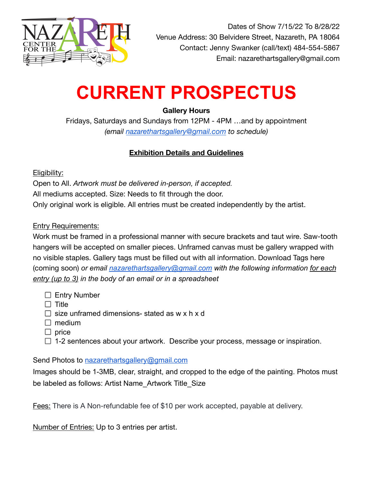

# **CURRENT PROSPECTUS**

## **Gallery Hours**

Fridays, Saturdays and Sundays from 12PM - 4PM …and by appointment *(email [nazarethartsgallery@gmail.com](mailto:nazarethartsgallery@gmail.com) to schedule)*

## **Exhibition Details and Guidelines**

Eligibility:

Open to All. *Artwork must be delivered in-person, if accepted.* All mediums accepted. Size: Needs to fit through the door. Only original work is eligible. All entries must be created independently by the artist.

## Entry Requirements:

Work must be framed in a professional manner with secure brackets and taut wire. Saw-tooth hangers will be accepted on smaller pieces. Unframed canvas must be gallery wrapped with no visible staples. Gallery tags must be filled out with all information. Download Tags here (coming soon) *or email [nazarethartsgallery@gmail.com](mailto:nazarethartsgallery@gmail.com) with the following information for each entry (up to 3) in the body of an email or in a spreadsheet*

- $\Box$  Entry Number
- $\Box$  Title
- $\Box$  size unframed dimensions- stated as w x h x d
- $\Box$  medium
- $\Box$  price
- $\Box$  1-2 sentences about your artwork. Describe your process, message or inspiration.

Send Photos to [nazarethartsgallery@gmail.com](mailto:nazarethartsgallery@gmail.com)

Images should be 1-3MB, clear, straight, and cropped to the edge of the painting. Photos must be labeled as follows: Artist Name Artwork Title Size

Fees: There is A Non-refundable fee of \$10 per work accepted, payable at delivery.

Number of Entries: Up to 3 entries per artist.